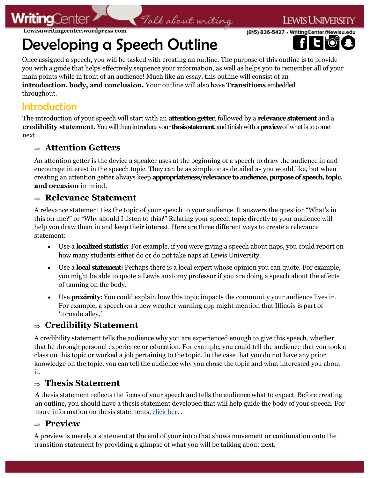

Developing a Speech Outline

Once assigned a speech, you will be tasked with creating an outline. The purpose of this outline is to provide you with a guide that helps effectively sequence your information, as well as helps you to remember all of your main points while in front of an audience! Much like an essay, this outline will consist of an **introduction, body, and conclusion.** Your outline will also have **Transitions** embedded throughout.

Talk about writing

**FWIS UNIVERSITY** 

(815) 836-5427 · WritingCenter@lewisu.

# Introduction

The introduction of your speech will start with an **attention getter**, followed by a **relevance statement** and a **credibility statement**. You will then introduce your **thesis statement**, and finish with a **preview**of what is to come next.

## **Attention Getters**

An attention getter is the device a speaker uses at the beginning of a speech to draw the audience in and encourage interest in the speech topic. They can be as simple or as detailed as you would like, but when creating an attention getter always keep **appropriateness/relevance to audience, purpose of speech, topic, and occasion** in mind.

## **Relevance Statement**

A relevance statement ties the topic of your speech to your audience. It answers the question "What's in this for me?" or "Why should I listen to this?" Relating your speech topic directly to your audience will help you draw them in and keep their interest. Here are three different ways to create a relevance statement:

- Use a **localized statistic:** For example, if you were giving a speech about naps, you could report on how many students either do or do not take naps at Lewis University.
- Use a **local statement:** Perhaps there is a local expert whose opinion you can quote. For example, you might be able to quote a Lewis anatomy professor if you are doing a speech about the effects of tanning on the body.
- Use **proximity:** You could explain how this topic impacts the community your audience lives in. For example, a speech on a new weather warning app might mention that Illinois is part of 'tornado alley.'

# **Credibility Statement**

A credibility statement tells the audience why you are experienced enough to give this speech, whether that be through personal experience or education. For example, you could tell the audience that you took a class on this topic or worked a job pertaining to the topic. In the case that you do not have any prior knowledge on the topic, you can tell the audience why you chose the topic and what interested you about it.

# **Thesis Statement**

A thesis statement reflects the focus of your speech and tells the audience what to expect. Before creating an outline, you should have a thesis statement developed that will help guide the body of your speech. For more information on thesis statements, [click here.](https://lewisuwritingcenter.files.wordpress.com/2014/02/thesis-statement.pdf) 

## **Preview**

A preview is merely a statement at the end of your intro that shows movement or continuation onto the transition statement by providing a glimpse of what you will be talking about next.